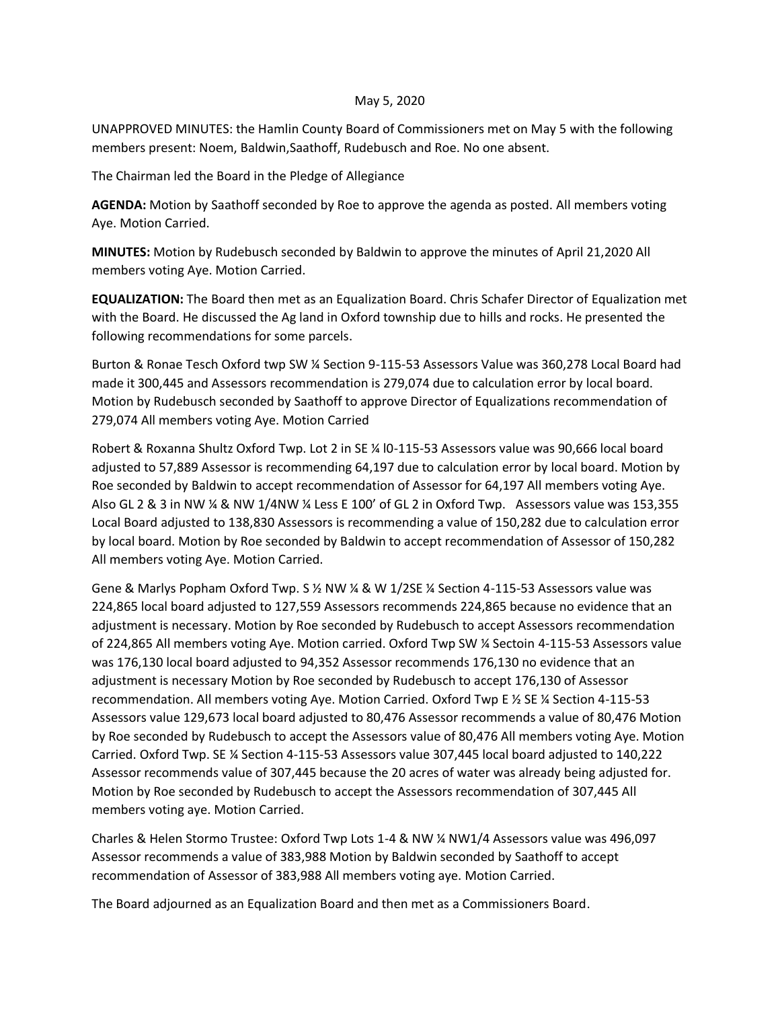## May 5, 2020

UNAPPROVED MINUTES: the Hamlin County Board of Commissioners met on May 5 with the following members present: Noem, Baldwin,Saathoff, Rudebusch and Roe. No one absent.

The Chairman led the Board in the Pledge of Allegiance

**AGENDA:** Motion by Saathoff seconded by Roe to approve the agenda as posted. All members voting Aye. Motion Carried.

**MINUTES:** Motion by Rudebusch seconded by Baldwin to approve the minutes of April 21,2020 All members voting Aye. Motion Carried.

**EQUALIZATION:** The Board then met as an Equalization Board. Chris Schafer Director of Equalization met with the Board. He discussed the Ag land in Oxford township due to hills and rocks. He presented the following recommendations for some parcels.

Burton & Ronae Tesch Oxford twp SW ¼ Section 9-115-53 Assessors Value was 360,278 Local Board had made it 300,445 and Assessors recommendation is 279,074 due to calculation error by local board. Motion by Rudebusch seconded by Saathoff to approve Director of Equalizations recommendation of 279,074 All members voting Aye. Motion Carried

Robert & Roxanna Shultz Oxford Twp. Lot 2 in SE ¼ l0-115-53 Assessors value was 90,666 local board adjusted to 57,889 Assessor is recommending 64,197 due to calculation error by local board. Motion by Roe seconded by Baldwin to accept recommendation of Assessor for 64,197 All members voting Aye. Also GL 2 & 3 in NW ¼ & NW 1/4NW ¼ Less E 100' of GL 2 in Oxford Twp. Assessors value was 153,355 Local Board adjusted to 138,830 Assessors is recommending a value of 150,282 due to calculation error by local board. Motion by Roe seconded by Baldwin to accept recommendation of Assessor of 150,282 All members voting Aye. Motion Carried.

Gene & Marlys Popham Oxford Twp. S % NW % & W 1/2SE % Section 4-115-53 Assessors value was 224,865 local board adjusted to 127,559 Assessors recommends 224,865 because no evidence that an adjustment is necessary. Motion by Roe seconded by Rudebusch to accept Assessors recommendation of 224,865 All members voting Aye. Motion carried. Oxford Twp SW ¼ Sectoin 4-115-53 Assessors value was 176,130 local board adjusted to 94,352 Assessor recommends 176,130 no evidence that an adjustment is necessary Motion by Roe seconded by Rudebusch to accept 176,130 of Assessor recommendation. All members voting Aye. Motion Carried. Oxford Twp E ½ SE ¼ Section 4-115-53 Assessors value 129,673 local board adjusted to 80,476 Assessor recommends a value of 80,476 Motion by Roe seconded by Rudebusch to accept the Assessors value of 80,476 All members voting Aye. Motion Carried. Oxford Twp. SE ¼ Section 4-115-53 Assessors value 307,445 local board adjusted to 140,222 Assessor recommends value of 307,445 because the 20 acres of water was already being adjusted for. Motion by Roe seconded by Rudebusch to accept the Assessors recommendation of 307,445 All members voting aye. Motion Carried.

Charles & Helen Stormo Trustee: Oxford Twp Lots 1-4 & NW ¼ NW1/4 Assessors value was 496,097 Assessor recommends a value of 383,988 Motion by Baldwin seconded by Saathoff to accept recommendation of Assessor of 383,988 All members voting aye. Motion Carried.

The Board adjourned as an Equalization Board and then met as a Commissioners Board.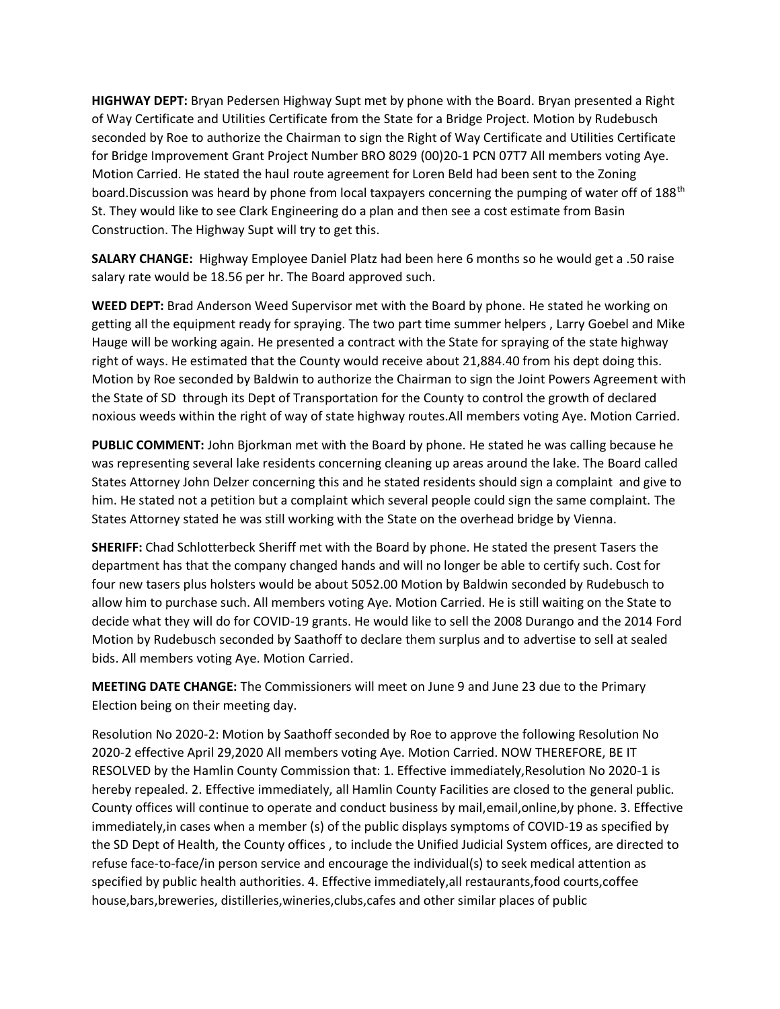**HIGHWAY DEPT:** Bryan Pedersen Highway Supt met by phone with the Board. Bryan presented a Right of Way Certificate and Utilities Certificate from the State for a Bridge Project. Motion by Rudebusch seconded by Roe to authorize the Chairman to sign the Right of Way Certificate and Utilities Certificate for Bridge Improvement Grant Project Number BRO 8029 (00)20-1 PCN 07T7 All members voting Aye. Motion Carried. He stated the haul route agreement for Loren Beld had been sent to the Zoning board.Discussion was heard by phone from local taxpayers concerning the pumping of water off of 188<sup>th</sup> St. They would like to see Clark Engineering do a plan and then see a cost estimate from Basin Construction. The Highway Supt will try to get this.

**SALARY CHANGE:** Highway Employee Daniel Platz had been here 6 months so he would get a .50 raise salary rate would be 18.56 per hr. The Board approved such.

**WEED DEPT:** Brad Anderson Weed Supervisor met with the Board by phone. He stated he working on getting all the equipment ready for spraying. The two part time summer helpers , Larry Goebel and Mike Hauge will be working again. He presented a contract with the State for spraying of the state highway right of ways. He estimated that the County would receive about 21,884.40 from his dept doing this. Motion by Roe seconded by Baldwin to authorize the Chairman to sign the Joint Powers Agreement with the State of SD through its Dept of Transportation for the County to control the growth of declared noxious weeds within the right of way of state highway routes.All members voting Aye. Motion Carried.

**PUBLIC COMMENT:** John Bjorkman met with the Board by phone. He stated he was calling because he was representing several lake residents concerning cleaning up areas around the lake. The Board called States Attorney John Delzer concerning this and he stated residents should sign a complaint and give to him. He stated not a petition but a complaint which several people could sign the same complaint. The States Attorney stated he was still working with the State on the overhead bridge by Vienna.

**SHERIFF:** Chad Schlotterbeck Sheriff met with the Board by phone. He stated the present Tasers the department has that the company changed hands and will no longer be able to certify such. Cost for four new tasers plus holsters would be about 5052.00 Motion by Baldwin seconded by Rudebusch to allow him to purchase such. All members voting Aye. Motion Carried. He is still waiting on the State to decide what they will do for COVID-19 grants. He would like to sell the 2008 Durango and the 2014 Ford Motion by Rudebusch seconded by Saathoff to declare them surplus and to advertise to sell at sealed bids. All members voting Aye. Motion Carried.

**MEETING DATE CHANGE:** The Commissioners will meet on June 9 and June 23 due to the Primary Election being on their meeting day.

Resolution No 2020-2: Motion by Saathoff seconded by Roe to approve the following Resolution No 2020-2 effective April 29,2020 All members voting Aye. Motion Carried. NOW THEREFORE, BE IT RESOLVED by the Hamlin County Commission that: 1. Effective immediately,Resolution No 2020-1 is hereby repealed. 2. Effective immediately, all Hamlin County Facilities are closed to the general public. County offices will continue to operate and conduct business by mail,email,online,by phone. 3. Effective immediately,in cases when a member (s) of the public displays symptoms of COVID-19 as specified by the SD Dept of Health, the County offices , to include the Unified Judicial System offices, are directed to refuse face-to-face/in person service and encourage the individual(s) to seek medical attention as specified by public health authorities. 4. Effective immediately,all restaurants,food courts,coffee house,bars,breweries, distilleries,wineries,clubs,cafes and other similar places of public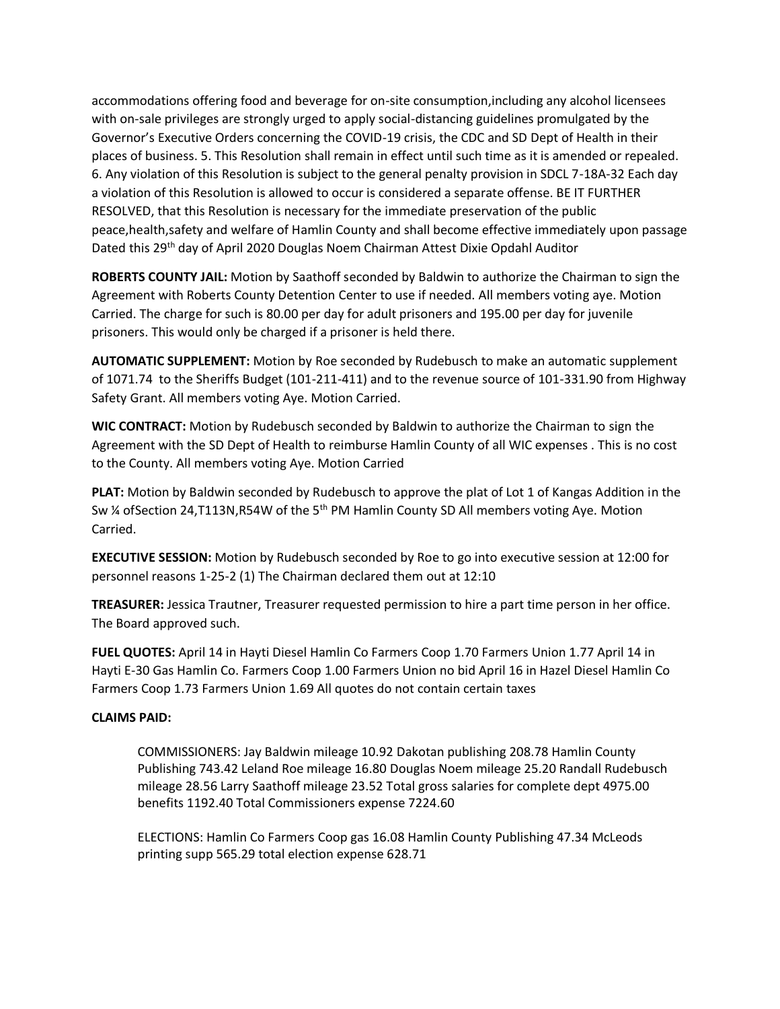accommodations offering food and beverage for on-site consumption,including any alcohol licensees with on-sale privileges are strongly urged to apply social-distancing guidelines promulgated by the Governor's Executive Orders concerning the COVID-19 crisis, the CDC and SD Dept of Health in their places of business. 5. This Resolution shall remain in effect until such time as it is amended or repealed. 6. Any violation of this Resolution is subject to the general penalty provision in SDCL 7-18A-32 Each day a violation of this Resolution is allowed to occur is considered a separate offense. BE IT FURTHER RESOLVED, that this Resolution is necessary for the immediate preservation of the public peace,health,safety and welfare of Hamlin County and shall become effective immediately upon passage Dated this 29th day of April 2020 Douglas Noem Chairman Attest Dixie Opdahl Auditor

**ROBERTS COUNTY JAIL:** Motion by Saathoff seconded by Baldwin to authorize the Chairman to sign the Agreement with Roberts County Detention Center to use if needed. All members voting aye. Motion Carried. The charge for such is 80.00 per day for adult prisoners and 195.00 per day for juvenile prisoners. This would only be charged if a prisoner is held there.

**AUTOMATIC SUPPLEMENT:** Motion by Roe seconded by Rudebusch to make an automatic supplement of 1071.74 to the Sheriffs Budget (101-211-411) and to the revenue source of 101-331.90 from Highway Safety Grant. All members voting Aye. Motion Carried.

**WIC CONTRACT:** Motion by Rudebusch seconded by Baldwin to authorize the Chairman to sign the Agreement with the SD Dept of Health to reimburse Hamlin County of all WIC expenses . This is no cost to the County. All members voting Aye. Motion Carried

**PLAT:** Motion by Baldwin seconded by Rudebusch to approve the plat of Lot 1 of Kangas Addition in the Sw  $\frac{1}{4}$  of Section 24, T113N, R54W of the 5<sup>th</sup> PM Hamlin County SD All members voting Aye. Motion Carried.

**EXECUTIVE SESSION:** Motion by Rudebusch seconded by Roe to go into executive session at 12:00 for personnel reasons 1-25-2 (1) The Chairman declared them out at 12:10

**TREASURER:** Jessica Trautner, Treasurer requested permission to hire a part time person in her office. The Board approved such.

**FUEL QUOTES:** April 14 in Hayti Diesel Hamlin Co Farmers Coop 1.70 Farmers Union 1.77 April 14 in Hayti E-30 Gas Hamlin Co. Farmers Coop 1.00 Farmers Union no bid April 16 in Hazel Diesel Hamlin Co Farmers Coop 1.73 Farmers Union 1.69 All quotes do not contain certain taxes

## **CLAIMS PAID:**

COMMISSIONERS: Jay Baldwin mileage 10.92 Dakotan publishing 208.78 Hamlin County Publishing 743.42 Leland Roe mileage 16.80 Douglas Noem mileage 25.20 Randall Rudebusch mileage 28.56 Larry Saathoff mileage 23.52 Total gross salaries for complete dept 4975.00 benefits 1192.40 Total Commissioners expense 7224.60

ELECTIONS: Hamlin Co Farmers Coop gas 16.08 Hamlin County Publishing 47.34 McLeods printing supp 565.29 total election expense 628.71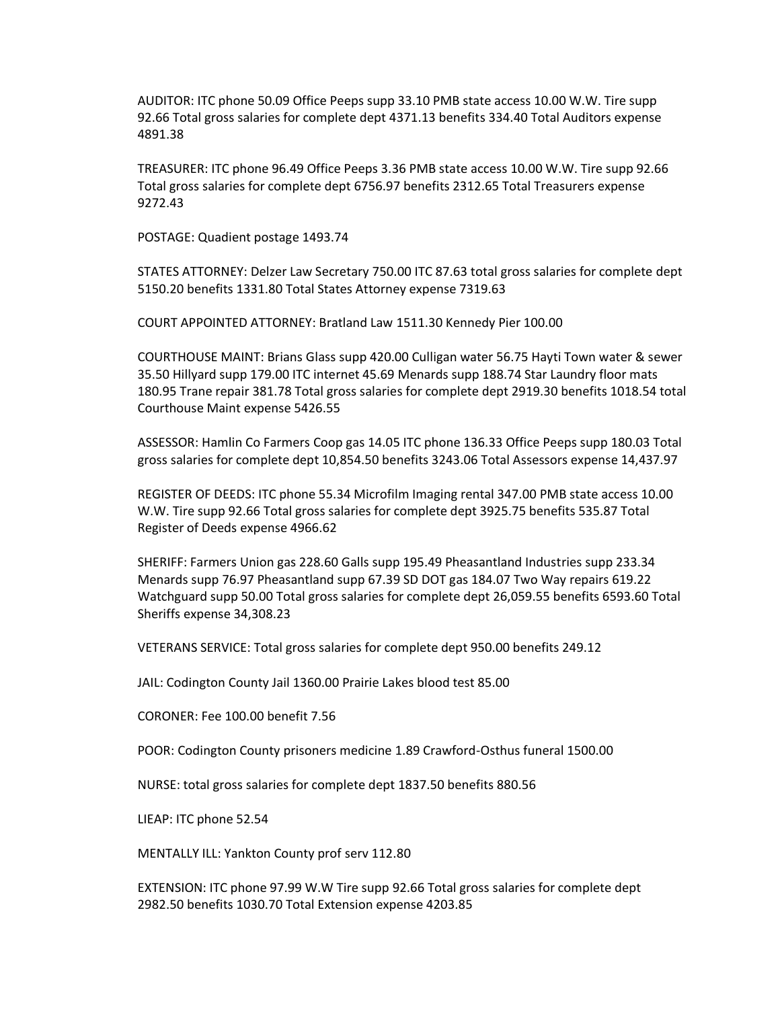AUDITOR: ITC phone 50.09 Office Peeps supp 33.10 PMB state access 10.00 W.W. Tire supp 92.66 Total gross salaries for complete dept 4371.13 benefits 334.40 Total Auditors expense 4891.38

TREASURER: ITC phone 96.49 Office Peeps 3.36 PMB state access 10.00 W.W. Tire supp 92.66 Total gross salaries for complete dept 6756.97 benefits 2312.65 Total Treasurers expense 9272.43

POSTAGE: Quadient postage 1493.74

STATES ATTORNEY: Delzer Law Secretary 750.00 ITC 87.63 total gross salaries for complete dept 5150.20 benefits 1331.80 Total States Attorney expense 7319.63

COURT APPOINTED ATTORNEY: Bratland Law 1511.30 Kennedy Pier 100.00

COURTHOUSE MAINT: Brians Glass supp 420.00 Culligan water 56.75 Hayti Town water & sewer 35.50 Hillyard supp 179.00 ITC internet 45.69 Menards supp 188.74 Star Laundry floor mats 180.95 Trane repair 381.78 Total gross salaries for complete dept 2919.30 benefits 1018.54 total Courthouse Maint expense 5426.55

ASSESSOR: Hamlin Co Farmers Coop gas 14.05 ITC phone 136.33 Office Peeps supp 180.03 Total gross salaries for complete dept 10,854.50 benefits 3243.06 Total Assessors expense 14,437.97

REGISTER OF DEEDS: ITC phone 55.34 Microfilm Imaging rental 347.00 PMB state access 10.00 W.W. Tire supp 92.66 Total gross salaries for complete dept 3925.75 benefits 535.87 Total Register of Deeds expense 4966.62

SHERIFF: Farmers Union gas 228.60 Galls supp 195.49 Pheasantland Industries supp 233.34 Menards supp 76.97 Pheasantland supp 67.39 SD DOT gas 184.07 Two Way repairs 619.22 Watchguard supp 50.00 Total gross salaries for complete dept 26,059.55 benefits 6593.60 Total Sheriffs expense 34,308.23

VETERANS SERVICE: Total gross salaries for complete dept 950.00 benefits 249.12

JAIL: Codington County Jail 1360.00 Prairie Lakes blood test 85.00

CORONER: Fee 100.00 benefit 7.56

POOR: Codington County prisoners medicine 1.89 Crawford-Osthus funeral 1500.00

NURSE: total gross salaries for complete dept 1837.50 benefits 880.56

LIEAP: ITC phone 52.54

MENTALLY ILL: Yankton County prof serv 112.80

EXTENSION: ITC phone 97.99 W.W Tire supp 92.66 Total gross salaries for complete dept 2982.50 benefits 1030.70 Total Extension expense 4203.85